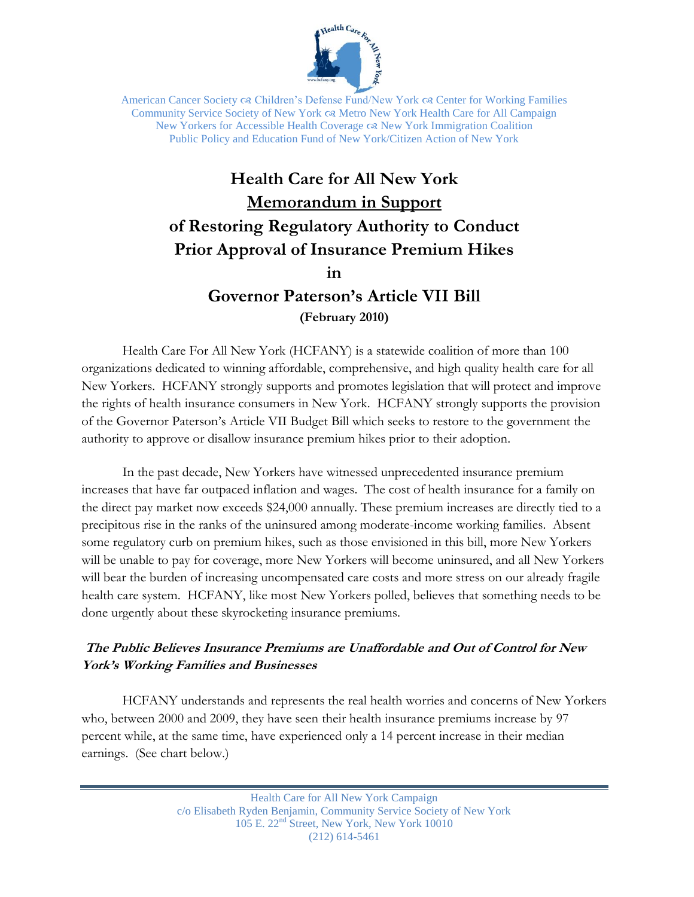

American Cancer Society  $\infty$  Children's Defense Fund/New York  $\infty$  Center for Working Families Community Service Society of New York Metro New York Health Care for All Campaign New Yorkers for Accessible Health Coverage  $\infty$  New York Immigration Coalition Public Policy and Education Fund of New York/Citizen Action of New York

# **Health Care for All New York Memorandum in Support of Restoring Regulatory Authority to Conduct Prior Approval of Insurance Premium Hikes**

**in** 

**Governor Paterson's Article VII Bill (February 2010)**

Health Care For All New York (HCFANY) is a statewide coalition of more than 100 organizations dedicated to winning affordable, comprehensive, and high quality health care for all New Yorkers. HCFANY strongly supports and promotes legislation that will protect and improve the rights of health insurance consumers in New York. HCFANY strongly supports the provision of the Governor Paterson"s Article VII Budget Bill which seeks to restore to the government the authority to approve or disallow insurance premium hikes prior to their adoption.

In the past decade, New Yorkers have witnessed unprecedented insurance premium increases that have far outpaced inflation and wages. The cost of health insurance for a family on the direct pay market now exceeds \$24,000 annually. These premium increases are directly tied to a precipitous rise in the ranks of the uninsured among moderate-income working families. Absent some regulatory curb on premium hikes, such as those envisioned in this bill, more New Yorkers will be unable to pay for coverage, more New Yorkers will become uninsured, and all New Yorkers will bear the burden of increasing uncompensated care costs and more stress on our already fragile health care system. HCFANY, like most New Yorkers polled, believes that something needs to be done urgently about these skyrocketing insurance premiums.

## **The Public Believes Insurance Premiums are Unaffordable and Out of Control for New York's Working Families and Businesses**

HCFANY understands and represents the real health worries and concerns of New Yorkers who, between 2000 and 2009, they have seen their health insurance premiums increase by 97 percent while, at the same time, have experienced only a 14 percent increase in their median earnings. (See chart below.)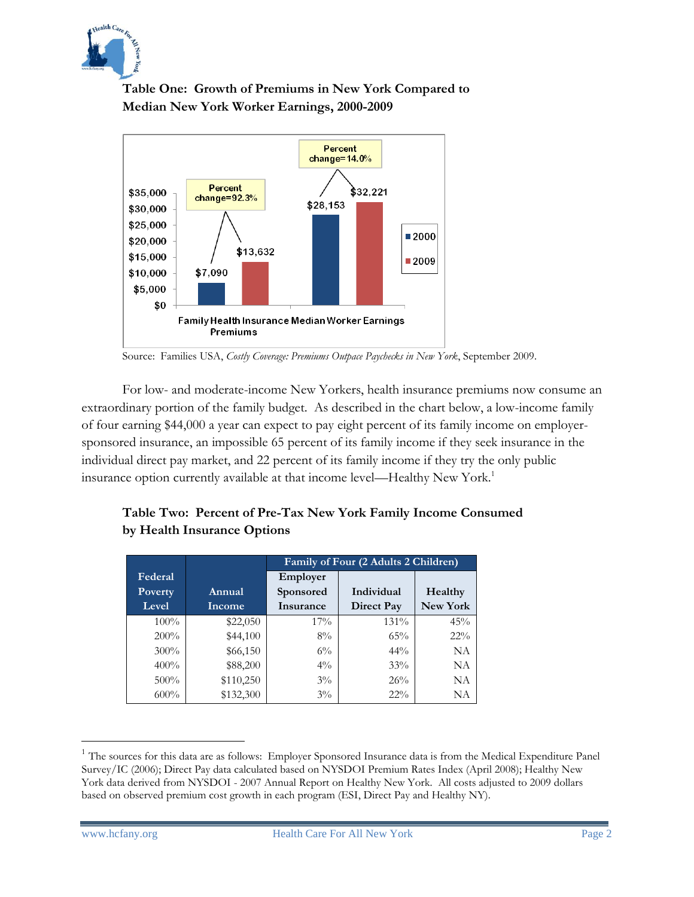

## **Table One: Growth of Premiums in New York Compared to Median New York Worker Earnings, 2000-2009**



Source: Families USA, *Costly Coverage: Premiums Outpace Paychecks in New York*, September 2009.

For low- and moderate-income New Yorkers, health insurance premiums now consume an extraordinary portion of the family budget. As described in the chart below, a low-income family of four earning \$44,000 a year can expect to pay eight percent of its family income on employersponsored insurance, an impossible 65 percent of its family income if they seek insurance in the individual direct pay market, and 22 percent of its family income if they try the only public insurance option currently available at that income level—Healthy New York.<sup>1</sup>

|         |           | Family of Four (2 Adults 2 Children) |                   |           |
|---------|-----------|--------------------------------------|-------------------|-----------|
| Federal |           | Employer                             |                   |           |
| Poverty | Annual    | Sponsored                            | Individual        | Healthy   |
| Level   | Income    | Insurance                            | <b>Direct Pay</b> | New York  |
| $100\%$ | \$22,050  | $17\%$                               | 131%              | 45%       |
| 200%    | \$44,100  | $8\%$                                | 65%               | $22\%$    |
| $300\%$ | \$66,150  | $6\%$                                | $44\%$            | <b>NA</b> |
| 400%    | \$88,200  | $4\%$                                | 33%               | NA        |
| $500\%$ | \$110,250 | $3\%$                                | 26%               | NA        |
| $600\%$ | \$132,300 | $3\%$                                | $22\%$            | NA        |

#### **Table Two: Percent of Pre-Tax New York Family Income Consumed by Health Insurance Options**

 $\overline{a}$ 

<sup>&</sup>lt;sup>1</sup> The sources for this data are as follows: Employer Sponsored Insurance data is from the Medical Expenditure Panel Survey/IC (2006); Direct Pay data calculated based on NYSDOI Premium Rates Index (April 2008); Healthy New York data derived from NYSDOI - 2007 Annual Report on Healthy New York. All costs adjusted to 2009 dollars based on observed premium cost growth in each program (ESI, Direct Pay and Healthy NY).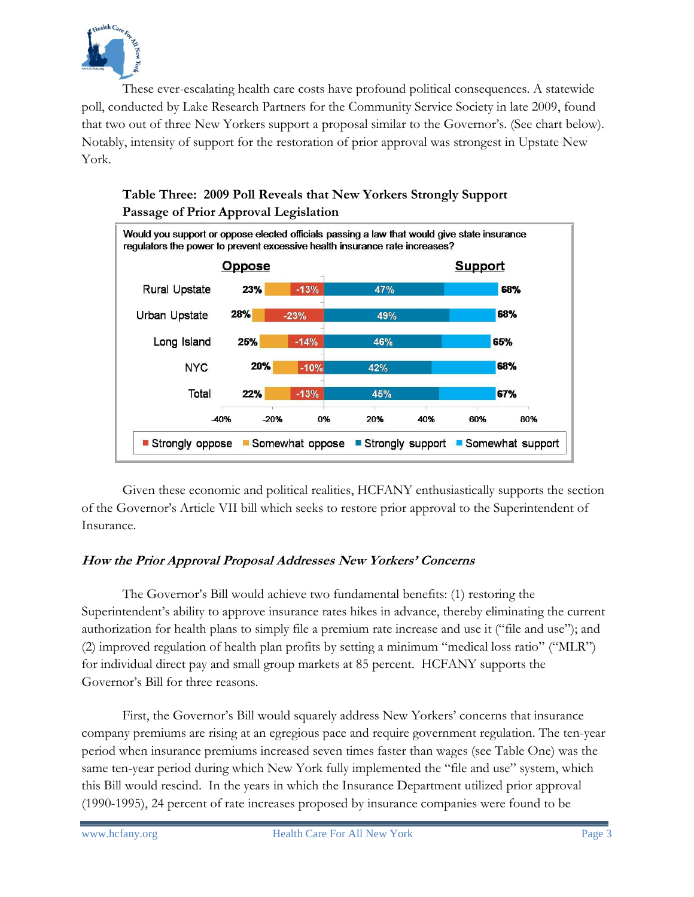

These ever-escalating health care costs have profound political consequences. A statewide poll, conducted by Lake Research Partners for the Community Service Society in late 2009, found that two out of three New Yorkers support a proposal similar to the Governor's. (See chart below). Notably, intensity of support for the restoration of prior approval was strongest in Upstate New York.



## **Table Three: 2009 Poll Reveals that New Yorkers Strongly Support Passage of Prior Approval Legislation**

Given these economic and political realities, HCFANY enthusiastically supports the section of the Governor"s Article VII bill which seeks to restore prior approval to the Superintendent of Insurance.

### **How the Prior Approval Proposal Addresses New Yorkers' Concerns**

The Governor's Bill would achieve two fundamental benefits: (1) restoring the Superintendent"s ability to approve insurance rates hikes in advance, thereby eliminating the current authorization for health plans to simply file a premium rate increase and use it ("file and use"); and (2) improved regulation of health plan profits by setting a minimum "medical loss ratio" ("MLR") for individual direct pay and small group markets at 85 percent. HCFANY supports the Governor"s Bill for three reasons.

First, the Governor's Bill would squarely address New Yorkers' concerns that insurance company premiums are rising at an egregious pace and require government regulation. The ten-year period when insurance premiums increased seven times faster than wages (see Table One) was the same ten-year period during which New York fully implemented the "file and use" system, which this Bill would rescind. In the years in which the Insurance Department utilized prior approval (1990-1995), 24 percent of rate increases proposed by insurance companies were found to be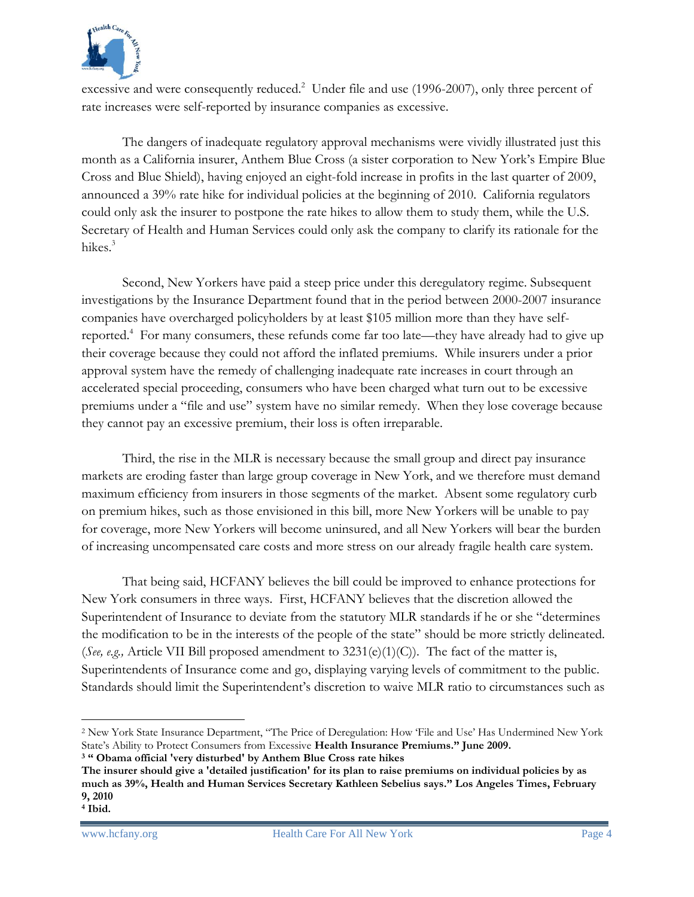

excessive and were consequently reduced.<sup>2</sup> Under file and use (1996-2007), only three percent of rate increases were self-reported by insurance companies as excessive.

The dangers of inadequate regulatory approval mechanisms were vividly illustrated just this month as a California insurer, Anthem Blue Cross (a sister corporation to New York"s Empire Blue Cross and Blue Shield), having enjoyed an eight-fold increase in profits in the last quarter of 2009, announced a 39% rate hike for individual policies at the beginning of 2010. California regulators could only ask the insurer to postpone the rate hikes to allow them to study them, while the U.S. Secretary of Health and Human Services could only ask the company to clarify its rationale for the hikes.<sup>3</sup>

Second, New Yorkers have paid a steep price under this deregulatory regime. Subsequent investigations by the Insurance Department found that in the period between 2000-2007 insurance companies have overcharged policyholders by at least \$105 million more than they have selfreported.<sup>4</sup> For many consumers, these refunds come far too late—they have already had to give up their coverage because they could not afford the inflated premiums. While insurers under a prior approval system have the remedy of challenging inadequate rate increases in court through an accelerated special proceeding, consumers who have been charged what turn out to be excessive premiums under a "file and use" system have no similar remedy. When they lose coverage because they cannot pay an excessive premium, their loss is often irreparable.

Third, the rise in the MLR is necessary because the small group and direct pay insurance markets are eroding faster than large group coverage in New York, and we therefore must demand maximum efficiency from insurers in those segments of the market. Absent some regulatory curb on premium hikes, such as those envisioned in this bill, more New Yorkers will be unable to pay for coverage, more New Yorkers will become uninsured, and all New Yorkers will bear the burden of increasing uncompensated care costs and more stress on our already fragile health care system.

That being said, HCFANY believes the bill could be improved to enhance protections for New York consumers in three ways. First, HCFANY believes that the discretion allowed the Superintendent of Insurance to deviate from the statutory MLR standards if he or she "determines the modification to be in the interests of the people of the state" should be more strictly delineated. (*See, e.g.,* Article VII Bill proposed amendment to 3231(e)(1)(C)). The fact of the matter is, Superintendents of Insurance come and go, displaying varying levels of commitment to the public. Standards should limit the Superintendent's discretion to waive MLR ratio to circumstances such as

 $\overline{a}$ 

<sup>2</sup> New York State Insurance Department, "The Price of Deregulation: How "File and Use" Has Undermined New York State"s Ability to Protect Consumers from Excessive **Health Insurance Premiums." June 2009.**

**<sup>3</sup> " Obama official 'very disturbed' by Anthem Blue Cross rate hikes**

**The insurer should give a 'detailed justification' for its plan to raise premiums on individual policies by as much as 39%, Health and Human Services Secretary Kathleen Sebelius says." Los Angeles Times, February 9, 2010**

**<sup>4</sup> Ibid.**